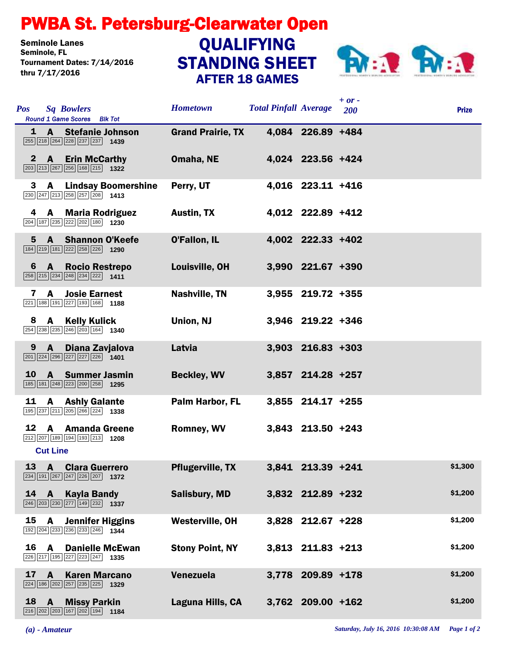## PWBA St. Petersburg-Clearwater Open

Seminole Lanes<br>Seminole, FL Tournament Dates: 7/14/2016 thru 7/17/2016

## STANDING SHEET AFTER 18 GAMES **QUALIFYING**



| <b>Pos</b>  | <b>Sq Bowlers</b><br>Round 1 Game Scores Blk Tot                                                                                              | <b>Hometown</b>          | <b>Total Pinfall Average</b> |                     | $+ or -$<br>200 | <b>Prize</b> |
|-------------|-----------------------------------------------------------------------------------------------------------------------------------------------|--------------------------|------------------------------|---------------------|-----------------|--------------|
|             | 1 A Stefanie Johnson<br>255 218 264 228 237 237 1439                                                                                          | <b>Grand Prairie, TX</b> |                              | 4,084 226.89 +484   |                 |              |
|             | 2 A Erin McCarthy<br>$\boxed{203}$ $\boxed{213}$ $\boxed{267}$ $\boxed{256}$ $\boxed{168}$ $\boxed{215}$ <b>1322</b>                          | Omaha, NE                |                              | 4,024 223.56 +424   |                 |              |
| 3           | <b>Lindsay Boomershine</b><br>$\mathbf{A}$<br>$\boxed{230}$ $\boxed{247}$ $\boxed{213}$ $\boxed{258}$ $\boxed{257}$ $\boxed{208}$ <b>1413</b> | Perry, UT                |                              | 4,016 223.11 +416   |                 |              |
| 4           | <b>A</b> Maria Rodriguez<br>204 187 235 222 202 180 1230                                                                                      | <b>Austin, TX</b>        |                              | 4,012 222.89 +412   |                 |              |
| $5^{\circ}$ | A Shannon O'Keefe<br>$\boxed{184}\boxed{219}\boxed{181}\boxed{222}\boxed{258}\boxed{226}$ 1290                                                | <b>O'Fallon, IL</b>      |                              | 4,002 222.33 +402   |                 |              |
| 6           | A Rocio Restrepo<br>$\boxed{258}$ $\boxed{215}$ $\boxed{234}$ $\boxed{248}$ $\boxed{234}$ $\boxed{222}$ <b>1411</b>                           | Louisville, OH           |                              | 3,990 221.67 +390   |                 |              |
| 7           | A<br><b>Josie Earnest</b><br>221 188 191 227 193 168 1188                                                                                     | <b>Nashville, TN</b>     |                              | 3,955 219.72 +355   |                 |              |
| 8           | A Kelly Kulick<br>254 238 235 246 203 164 1340                                                                                                | Union, NJ                |                              | 3,946 219.22 +346   |                 |              |
| 9           | $\mathbf{A}$<br>Diana Zavjalova<br>$\boxed{201}$ $\boxed{224}$ $\boxed{296}$ $\boxed{227}$ $\boxed{227}$ $\boxed{226}$ <b>1401</b>            | Latvia                   |                              | $3,903$ 216.83 +303 |                 |              |
| <b>10</b>   | <b>A</b> Summer Jasmin<br>185 181 248 223 200 258 1295                                                                                        | <b>Beckley, WV</b>       |                              | 3,857 214.28 +257   |                 |              |
| 11          | A<br><b>Ashly Galante</b><br>195 237 211 205 266 224 1338                                                                                     | Palm Harbor, FL          |                              | 3,855 214.17 +255   |                 |              |
|             | 12 A Amanda Greene<br>$\boxed{212}$ $\boxed{207}$ $\boxed{189}$ $\boxed{194}$ $\boxed{193}$ $\boxed{213}$ <b>1208</b><br><b>Cut Line</b>      | Romney, WV               |                              | 3,843 213.50 +243   |                 |              |
|             | 13 A Clara Guerrero<br>234 191 267 247 226 207 1372                                                                                           | <b>Pflugerville, TX</b>  |                              | 3,841 213.39 +241   |                 | \$1,300      |
| 14          | A Kayla Bandy<br>$\overline{ 246   203   230   277   149   232 }$ 1337                                                                        | <b>Salisbury, MD</b>     |                              | 3,832 212.89 +232   |                 | \$1,200      |
| 15          | <b>A</b> Jennifer Higgins<br>192 204 233 236 233 246 1344                                                                                     | <b>Westerville, OH</b>   |                              | 3,828 212.67 +228   |                 | \$1,200      |
|             | 16 A<br><b>Danielle McEwan</b><br>226 217 195 227 223 247 1335                                                                                | <b>Stony Point, NY</b>   |                              | $3,813$ 211.83 +213 |                 | \$1,200      |
| 17          | <b>Karen Marcano</b><br>A<br>$\boxed{224}$ 186 $\boxed{202}$ $\boxed{257}$ $\boxed{235}$ $\boxed{225}$ 1329                                   | Venezuela                |                              | 3,778 209.89 +178   |                 | \$1,200      |
|             | 18 A Missy Parkin<br>216 202 203 167 202 194 1184                                                                                             | Laguna Hills, CA         |                              | 3,762 209.00 +162   |                 | \$1,200      |